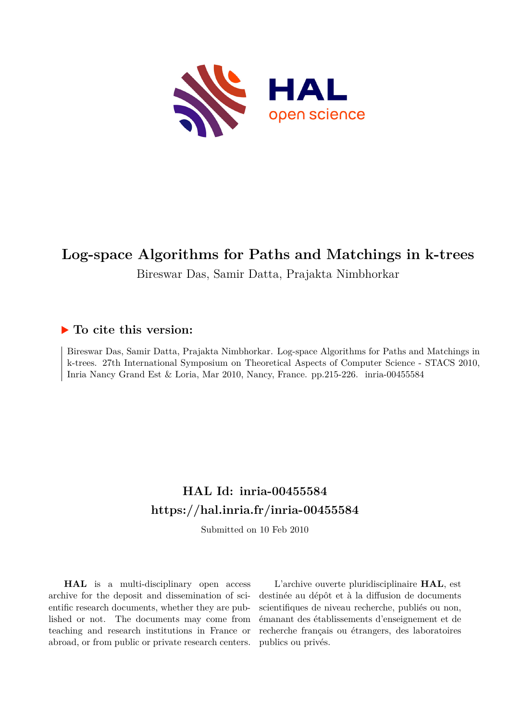

# **Log-space Algorithms for Paths and Matchings in k-trees**

Bireswar Das, Samir Datta, Prajakta Nimbhorkar

## **To cite this version:**

Bireswar Das, Samir Datta, Prajakta Nimbhorkar. Log-space Algorithms for Paths and Matchings in k-trees. 27th International Symposium on Theoretical Aspects of Computer Science - STACS 2010, Inria Nancy Grand Est & Loria, Mar 2010, Nancy, France. pp. 215-226. inria-00455584

## **HAL Id: inria-00455584 <https://hal.inria.fr/inria-00455584>**

Submitted on 10 Feb 2010

**HAL** is a multi-disciplinary open access archive for the deposit and dissemination of scientific research documents, whether they are published or not. The documents may come from teaching and research institutions in France or abroad, or from public or private research centers.

L'archive ouverte pluridisciplinaire **HAL**, est destinée au dépôt et à la diffusion de documents scientifiques de niveau recherche, publiés ou non, émanant des établissements d'enseignement et de recherche français ou étrangers, des laboratoires publics ou privés.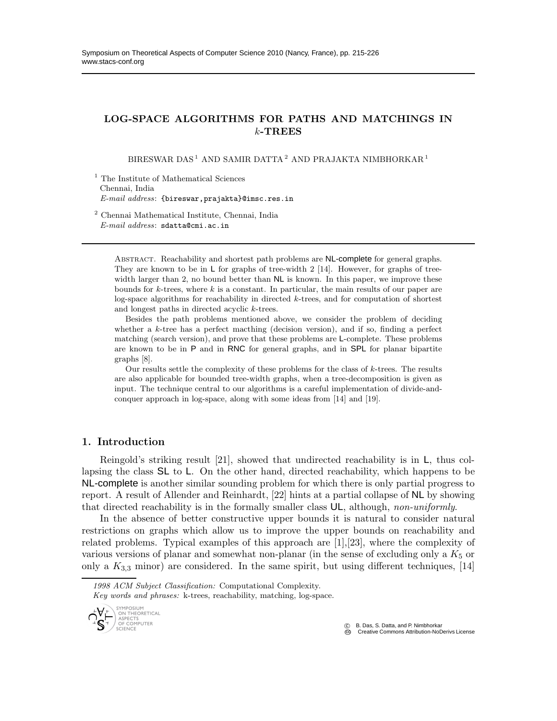## LOG-SPACE ALGORITHMS FOR PATHS AND MATCHINGS IN  $k$ -TREES

BIRESWAR DAS $^1$ AND SAMIR DATTA $^2$ AND PRAJAKTA NIMBHORKAR $^1$ 

<sup>1</sup> The Institute of Mathematical Sciences Chennai, India *E-mail address*: {bireswar,prajakta}@imsc.res.in

<sup>2</sup> Chennai Mathematical Institute, Chennai, India *E-mail address*: sdatta@cmi.ac.in

ABSTRACT. Reachability and shortest path problems are NL-complete for general graphs. They are known to be in  $\sf L$  for graphs of tree-width 2 [14]. However, for graphs of treewidth larger than 2, no bound better than  $NL$  is known. In this paper, we improve these bounds for  $k$ -trees, where  $k$  is a constant. In particular, the main results of our paper are log-space algorithms for reachability in directed k-trees, and for computation of shortest and longest paths in directed acyclic k-trees.

Besides the path problems mentioned above, we consider the problem of deciding whether a k-tree has a perfect macthing (decision version), and if so, finding a perfect matching (search version), and prove that these problems are L-complete. These problems are known to be in P and in RNC for general graphs, and in SPL for planar bipartite graphs [8].

Our results settle the complexity of these problems for the class of  $k$ -trees. The results are also applicable for bounded tree-width graphs, when a tree-decomposition is given as input. The technique central to our algorithms is a careful implementation of divide-andconquer approach in log-space, along with some ideas from [14] and [19].

### 1. Introduction

Reingold's striking result [21], showed that undirected reachability is in L, thus collapsing the class SL to L. On the other hand, directed reachability, which happens to be NL-complete is another similar sounding problem for which there is only partial progress to report. A result of Allender and Reinhardt, [22] hints at a partial collapse of NL by showing that directed reachability is in the formally smaller class UL, although, *non-uniformly*.

In the absence of better constructive upper bounds it is natural to consider natural restrictions on graphs which allow us to improve the upper bounds on reachability and related problems. Typical examples of this approach are [1],[23], where the complexity of various versions of planar and somewhat non-planar (in the sense of excluding only a  $K_5$  or only a  $K_{3,3}$  minor) are considered. In the same spirit, but using different techniques, [14]

*Key words and phrases:* k-trees, reachability, matching, log-space.



 c B. Das, S. Datta, and P. Nimbhorkar CC Creative Commons Attribution-NoDerivs License

*<sup>1998</sup> ACM Subject Classification:* Computational Complexity.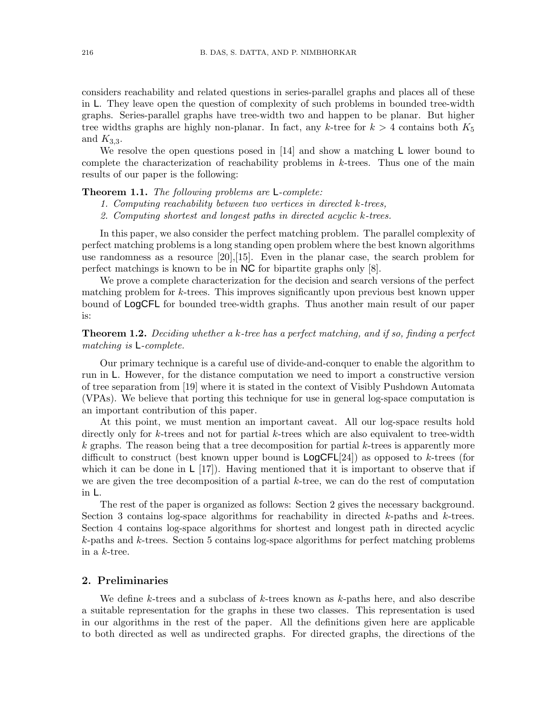considers reachability and related questions in series-parallel graphs and places all of these in L. They leave open the question of complexity of such problems in bounded tree-width graphs. Series-parallel graphs have tree-width two and happen to be planar. But higher tree widths graphs are highly non-planar. In fact, any k-tree for  $k > 4$  contains both  $K_5$ and  $K_{3,3}$ .

We resolve the open questions posed in  $[14]$  and show a matching L lower bound to complete the characterization of reachability problems in  $k$ -trees. Thus one of the main results of our paper is the following:

#### Theorem 1.1. *The following problems are* L*-complete:*

- *1. Computing reachability between two vertices in directed* k*-trees,*
- *2. Computing shortest and longest paths in directed acyclic* k*-trees.*

In this paper, we also consider the perfect matching problem. The parallel complexity of perfect matching problems is a long standing open problem where the best known algorithms use randomness as a resource [20],[15]. Even in the planar case, the search problem for perfect matchings is known to be in NC for bipartite graphs only [8].

We prove a complete characterization for the decision and search versions of the perfect matching problem for k-trees. This improves significantly upon previous best known upper bound of LogCFL for bounded tree-width graphs. Thus another main result of our paper is:

## Theorem 1.2. *Deciding whether a* k*-tree has a perfect matching, and if so, finding a perfect matching is* L*-complete.*

Our primary technique is a careful use of divide-and-conquer to enable the algorithm to run in L. However, for the distance computation we need to import a constructive version of tree separation from [19] where it is stated in the context of Visibly Pushdown Automata (VPAs). We believe that porting this technique for use in general log-space computation is an important contribution of this paper.

At this point, we must mention an important caveat. All our log-space results hold directly only for k-trees and not for partial k-trees which are also equivalent to tree-width  $k$  graphs. The reason being that a tree decomposition for partial  $k$ -trees is apparently more difficult to construct (best known upper bound is  $LogCFL[24]$ ) as opposed to k-trees (for which it can be done in  $\lfloor 17 \rfloor$ . Having mentioned that it is important to observe that if we are given the tree decomposition of a partial k-tree, we can do the rest of computation in L.

The rest of the paper is organized as follows: Section 2 gives the necessary background. Section 3 contains log-space algorithms for reachability in directed  $k$ -paths and  $k$ -trees. Section 4 contains log-space algorithms for shortest and longest path in directed acyclic k-paths and k-trees. Section 5 contains log-space algorithms for perfect matching problems in a k-tree.

#### 2. Preliminaries

We define k-trees and a subclass of  $k$ -trees known as  $k$ -paths here, and also describe a suitable representation for the graphs in these two classes. This representation is used in our algorithms in the rest of the paper. All the definitions given here are applicable to both directed as well as undirected graphs. For directed graphs, the directions of the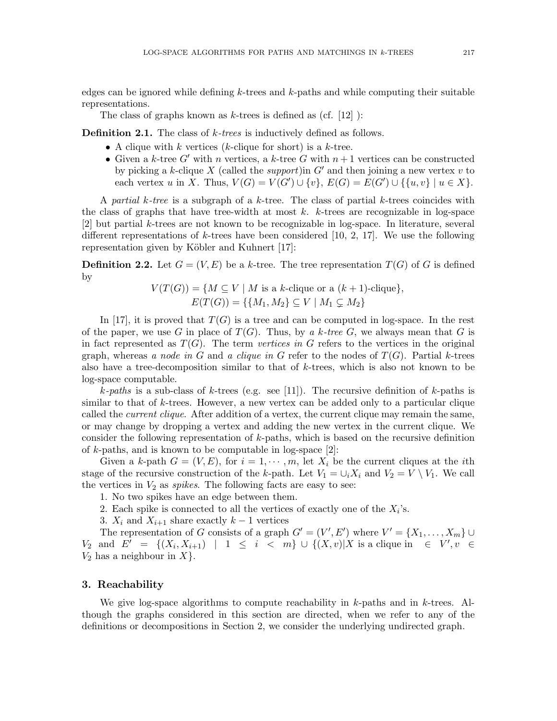edges can be ignored while defining  $k$ -trees and  $k$ -paths and while computing their suitable representations.

The class of graphs known as  $k$ -trees is defined as (cf. [12] ):

Definition 2.1. The class of k*-trees* is inductively defined as follows.

- A clique with k vertices (k-clique for short) is a k-tree.
- Given a k-tree  $G'$  with n vertices, a k-tree G with  $n+1$  vertices can be constructed by picking a k-clique  $X$  (called the *support*)in  $G'$  and then joining a new vertex  $v$  to each vertex u in X. Thus,  $V(G) = V(G') \cup \{v\}$ ,  $E(G) = E(G') \cup \{\{u, v\} \mid u \in X\}$ .

A *partial* k*-tree* is a subgraph of a k-tree. The class of partial k-trees coincides with the class of graphs that have tree-width at most  $k$ .  $k$ -trees are recognizable in log-space [2] but partial k-trees are not known to be recognizable in log-space. In literature, several different representations of k-trees have been considered  $[10, 2, 17]$ . We use the following representation given by Köbler and Kuhnert [17]:

**Definition 2.2.** Let  $G = (V, E)$  be a k-tree. The tree representation  $T(G)$  of G is defined by

$$
V(T(G)) = \{ M \subseteq V \mid M \text{ is a } k\text{-clique or a } (k+1)\text{-clique}\},
$$
  

$$
E(T(G)) = \{ \{M_1, M_2\} \subseteq V \mid M_1 \subsetneq M_2 \}
$$

In [17], it is proved that  $T(G)$  is a tree and can be computed in log-space. In the rest of the paper, we use G in place of  $T(G)$ . Thus, by a k-tree G, we always mean that G is in fact represented as  $T(G)$ . The term *vertices in* G refers to the vertices in the original graph, whereas *a node in* G and *a clique in* G refer to the nodes of  $T(G)$ . Partial k-trees also have a tree-decomposition similar to that of k-trees, which is also not known to be log-space computable.

 $k$ -paths is a sub-class of k-trees (e.g. see [11]). The recursive definition of k-paths is similar to that of k-trees. However, a new vertex can be added only to a particular clique called the *current clique*. After addition of a vertex, the current clique may remain the same, or may change by dropping a vertex and adding the new vertex in the current clique. We consider the following representation of k-paths, which is based on the recursive definition of  $k$ -paths, and is known to be computable in log-space  $[2]$ :

Given a k-path  $G = (V, E)$ , for  $i = 1, \dots, m$ , let  $X_i$  be the current cliques at the *i*th stage of the recursive construction of the k-path. Let  $V_1 = \bigcup_i X_i$  and  $V_2 = V \setminus V_1$ . We call the vertices in  $V_2$  as *spikes*. The following facts are easy to see:

- 1. No two spikes have an edge between them.
- 2. Each spike is connected to all the vertices of exactly one of the  $X_i$ 's.
- 3.  $X_i$  and  $X_{i+1}$  share exactly  $k-1$  vertices

The representation of G consists of a graph  $G' = (V', E')$  where  $V' = \{X_1, \ldots, X_m\} \cup$  $V_2$  and  $E' = \{(X_i, X_{i+1}) | 1 \le i < m\} \cup \{(X, v)|X \text{ is a clique in } \in V', v \in$  $V_2$  has a neighbour in  $X$ .

#### 3. Reachability

We give log-space algorithms to compute reachability in  $k$ -paths and in  $k$ -trees. Although the graphs considered in this section are directed, when we refer to any of the definitions or decompositions in Section 2, we consider the underlying undirected graph.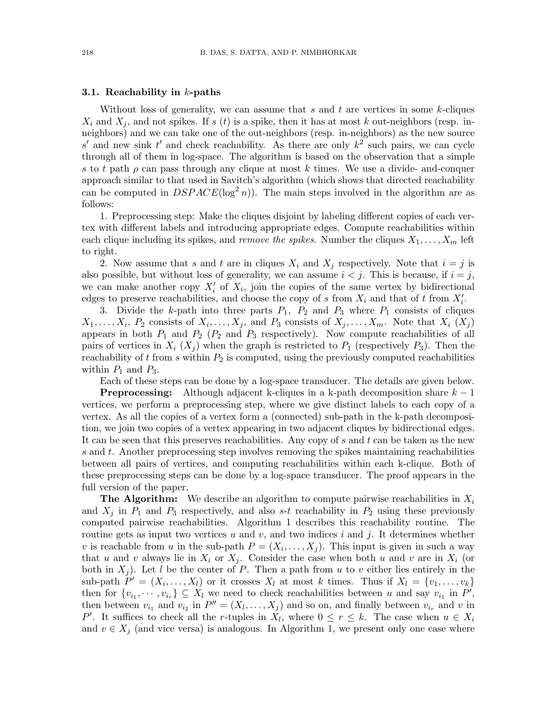#### 3.1. Reachability in  $k$ -paths

Without loss of generality, we can assume that s and t are vertices in some  $k$ -cliques  $X_i$  and  $X_j$ , and not spikes. If s (t) is a spike, then it has at most k out-neighbors (resp. inneighbors) and we can take one of the out-neighbors (resp. in-neighbors) as the new source s' and new sink t' and check reachability. As there are only  $k^2$  such pairs, we can cycle through all of them in log-space. The algorithm is based on the observation that a simple s to t path  $\rho$  can pass through any clique at most k times. We use a divide- and-conquer approach similar to that used in Savitch's algorithm (which shows that directed reachability can be computed in  $DSPACE(\log^2 n)$ . The main steps involved in the algorithm are as follows:

1. Preprocessing step: Make the cliques disjoint by labeling different copies of each vertex with different labels and introducing appropriate edges. Compute reachabilities within each clique including its spikes, and *remove the spikes*. Number the cliques  $X_1, \ldots, X_m$  left to right.

2. Now assume that s and t are in cliques  $X_i$  and  $X_j$  respectively. Note that  $i = j$  is also possible, but without loss of generality, we can assume  $i < j$ . This is because, if  $i = j$ , we can make another copy  $X_i'$  of  $X_i$ , join the copies of the same vertex by bidirectional edges to preserve reachabilities, and choose the copy of s from  $X_i$  and that of t from  $X'_i$ .

3. Divide the k-path into three parts  $P_1$ ,  $P_2$  and  $P_3$  where  $P_1$  consists of cliques  $X_1, \ldots, X_i$ ,  $P_2$  consists of  $X_i, \ldots, X_j$ , and  $P_3$  consists of  $X_j, \ldots, X_m$ . Note that  $X_i$   $(X_j)$ appears in both  $P_1$  and  $P_2$  ( $P_2$  and  $P_3$  respectively). Now compute reachabilities of all pairs of vertices in  $X_i$   $(X_i)$  when the graph is restricted to  $P_1$  (respectively  $P_3$ ). Then the reachability of  $t$  from  $s$  within  $P_2$  is computed, using the previously computed reachabilities within  $P_1$  and  $P_3$ .

Each of these steps can be done by a log-space transducer. The details are given below.

**Preprocessing:** Although adjacent k-cliques in a k-path decomposition share  $k - 1$ vertices, we perform a preprocessing step, where we give distinct labels to each copy of a vertex. As all the copies of a vertex form a (connected) sub-path in the k-path decomposition, we join two copies of a vertex appearing in two adjacent cliques by bidirectional edges. It can be seen that this preserves reachabilities. Any copy of  $s$  and  $t$  can be taken as the new s and t. Another preprocessing step involves removing the spikes maintaining reachabilities between all pairs of vertices, and computing reachabilities within each k-clique. Both of these preprocessing steps can be done by a log-space transducer. The proof appears in the full version of the paper.

**The Algorithm:** We describe an algorithm to compute pairwise reachabilities in  $X_i$ and  $X_i$  in  $P_1$  and  $P_3$  respectively, and also s-t reachability in  $P_2$  using these previously computed pairwise reachabilities. Algorithm 1 describes this reachability routine. The routine gets as input two vertices u and v, and two indices i and j. It determines whether v is reachable from u in the sub-path  $P = (X_i, \ldots, X_j)$ . This input is given in such a way that u and v always lie in  $X_i$  or  $X_j$ . Consider the case when both u and v are in  $X_i$  (or both in  $X_j$ ). Let l be the center of P. Then a path from u to v either lies entirely in the sub-path  $P' = (X_i, \ldots, X_l)$  or it crosses  $X_l$  at most k times. Thus if  $X_l = \{v_1, \ldots, v_k\}$ then for  $\{v_{i_1}, \dots, v_{i_r}\} \subseteq X_l$  we need to check reachabilities between u and say  $v_{i_1}$  in  $P'$ , then between  $v_{i_1}$  and  $v_{i_2}$  in  $P'' = (X_l, \ldots, X_j)$  and so on, and finally between  $v_{i_r}$  and v in P'. It suffices to check all the r-tuples in  $X_l$ , where  $0 \leq r \leq k$ . The case when  $u \in X_i$ and  $v \in X_j$  (and vice versa) is analogous. In Algorithm 1, we present only one case where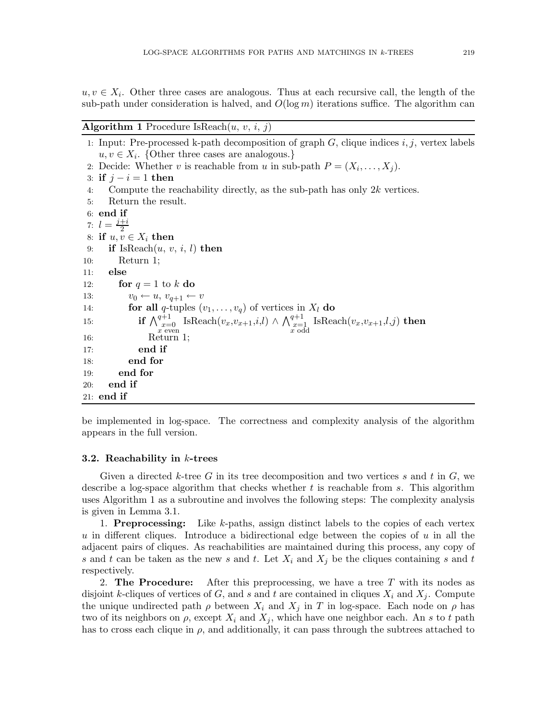$u, v \in X_i$ . Other three cases are analogous. Thus at each recursive call, the length of the sub-path under consideration is halved, and  $O(\log m)$  iterations suffice. The algorithm can

#### **Algorithm 1** Procedure IsReach $(u, v, i, j)$

1: Input: Pre-processed k-path decomposition of graph  $G$ , clique indices  $i, j$ , vertex labels  $u, v \in X_i$ . {Other three cases are analogous.} 2: Decide: Whether v is reachable from u in sub-path  $P = (X_i, \ldots, X_j)$ . 3: if  $j - i = 1$  then 4: Compute the reachability directly, as the sub-path has only  $2k$  vertices. 5: Return the result. 6: end if 7:  $l = \frac{j+i}{2}$ 2 8: if  $u, v \in X_i$  then 9: if  $IsReach(u, v, i, l)$  then 10: Return 1; 11: else 12: for  $q = 1$  to k do 13:  $v_0 \leftarrow u, v_{q+1} \leftarrow v$ 14: **for all** q-tuples  $(v_1, \ldots, v_q)$  of vertices in  $X_l$  do 15:  $\qquad \qquad \textbf{if} \ \bigwedge_{\substack{x=0 \ x \text{ even}}}^{q+1}$ IsReach $(v_x,v_{x+1},i,l) \wedge \bigwedge_{\substack{x=1 \ x \text{ odd}}}^{q+1}$ Is $\mathrm{Reach}(v_x,v_{x+1},l,j)$  then 16: Return 1; 17: end if 18: end for 19: end for 20: end if 21: end if

be implemented in log-space. The correctness and complexity analysis of the algorithm appears in the full version.

#### 3.2. Reachability in  $k$ -trees

Given a directed k-tree G in its tree decomposition and two vertices s and t in  $G$ , we describe a log-space algorithm that checks whether  $t$  is reachable from  $s$ . This algorithm uses Algorithm 1 as a subroutine and involves the following steps: The complexity analysis is given in Lemma 3.1.

1. **Preprocessing:** Like k-paths, assign distinct labels to the copies of each vertex u in different cliques. Introduce a bidirectional edge between the copies of  $u$  in all the adjacent pairs of cliques. As reachabilities are maintained during this process, any copy of s and t can be taken as the new s and t. Let  $X_i$  and  $X_j$  be the cliques containing s and t respectively.

2. The Procedure: After this preprocessing, we have a tree  $T$  with its nodes as disjoint k-cliques of vertices of G, and s and t are contained in cliques  $X_i$  and  $X_j$ . Compute the unique undirected path  $\rho$  between  $X_i$  and  $X_j$  in T in log-space. Each node on  $\rho$  has two of its neighbors on  $\rho$ , except  $X_i$  and  $X_j$ , which have one neighbor each. An s to t path has to cross each clique in  $\rho$ , and additionally, it can pass through the subtrees attached to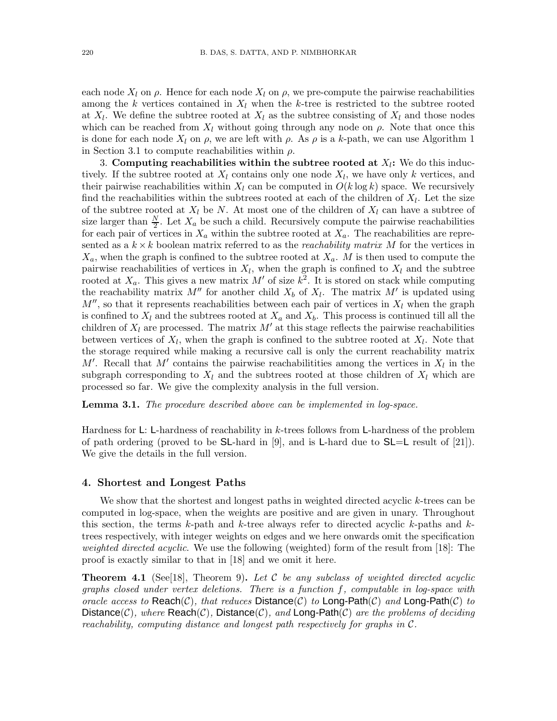each node  $X_l$  on  $\rho$ . Hence for each node  $X_l$  on  $\rho$ , we pre-compute the pairwise reachabilities among the k vertices contained in  $X_l$  when the k-tree is restricted to the subtree rooted at  $X_l$ . We define the subtree rooted at  $X_l$  as the subtree consisting of  $X_l$  and those nodes which can be reached from  $X_l$  without going through any node on  $\rho$ . Note that once this is done for each node  $X_l$  on  $\rho$ , we are left with  $\rho$ . As  $\rho$  is a k-path, we can use Algorithm 1 in Section 3.1 to compute reachabilities within  $\rho$ .

3. Computing reachabilities within the subtree rooted at  $X_l$ : We do this inductively. If the subtree rooted at  $X_l$  contains only one node  $X_l$ , we have only k vertices, and their pairwise reachabilities within  $X_l$  can be computed in  $O(k \log k)$  space. We recursively find the reachabilities within the subtrees rooted at each of the children of  $X_l$ . Let the size of the subtree rooted at  $X_l$  be N. At most one of the children of  $X_l$  can have a subtree of size larger than  $\frac{N}{2}$ . Let  $X_a$  be such a child. Recursively compute the pairwise reachabilities for each pair of vertices in  $X_a$  within the subtree rooted at  $X_a$ . The reachabilities are represented as a  $k \times k$  boolean matrix referred to as the *reachability matrix* M for the vertices in  $X_a$ , when the graph is confined to the subtree rooted at  $X_a$ . M is then used to compute the pairwise reachabilities of vertices in  $X_l$ , when the graph is confined to  $X_l$  and the subtree rooted at  $X_a$ . This gives a new matrix M' of size  $k^2$ . It is stored on stack while computing the reachability matrix  $M''$  for another child  $X_b$  of  $X_l$ . The matrix  $M'$  is updated using  $M''$ , so that it represents reachabilities between each pair of vertices in  $X_l$  when the graph is confined to  $X_l$  and the subtrees rooted at  $X_a$  and  $X_b$ . This process is continued till all the children of  $X_l$  are processed. The matrix M' at this stage reflects the pairwise reachabilities between vertices of  $X_l$ , when the graph is confined to the subtree rooted at  $X_l$ . Note that the storage required while making a recursive call is only the current reachability matrix  $M'$ . Recall that  $M'$  contains the pairwise reachabilitities among the vertices in  $X_l$  in the subgraph corresponding to  $X_l$  and the subtrees rooted at those children of  $X_l$  which are processed so far. We give the complexity analysis in the full version.

Lemma 3.1. *The procedure described above can be implemented in log-space.*

Hardness for L: L-hardness of reachability in k-trees follows from L-hardness of the problem of path ordering (proved to be SL-hard in [9], and is L-hard due to  $SL=L$  result of [21]). We give the details in the full version.

#### 4. Shortest and Longest Paths

We show that the shortest and longest paths in weighted directed acyclic  $k$ -trees can be computed in log-space, when the weights are positive and are given in unary. Throughout this section, the terms  $k$ -path and  $k$ -tree always refer to directed acyclic  $k$ -paths and  $k$ trees respectively, with integer weights on edges and we here onwards omit the specification *weighted directed acyclic*. We use the following (weighted) form of the result from [18]: The proof is exactly similar to that in [18] and we omit it here.

Theorem 4.1 (See[18], Theorem 9). *Let* C *be any subclass of weighted directed acyclic graphs closed under vertex deletions. There is a function* f*, computable in log-space with oracle access to*  $Reach(C)$ *, that reduces*  $Distance(C)$  *to*  $Long-Path(C)$  *and*  $Long-Path(C)$  *to* Distance(C)*, where* Reach(C)*,* Distance(C)*, and* Long-Path(C) *are the problems of deciding reachability, computing distance and longest path respectively for graphs in* C*.*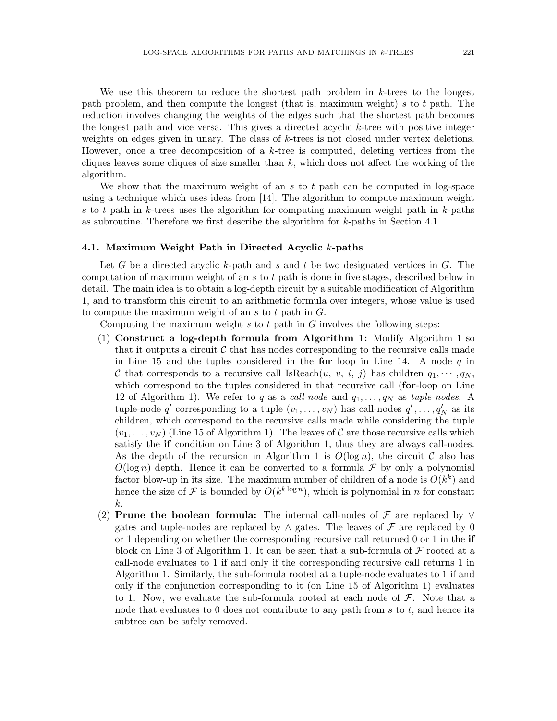We use this theorem to reduce the shortest path problem in k-trees to the longest path problem, and then compute the longest (that is, maximum weight) s to t path. The reduction involves changing the weights of the edges such that the shortest path becomes the longest path and vice versa. This gives a directed acyclic k-tree with positive integer weights on edges given in unary. The class of k-trees is not closed under vertex deletions. However, once a tree decomposition of a k-tree is computed, deleting vertices from the cliques leaves some cliques of size smaller than  $k$ , which does not affect the working of the algorithm.

We show that the maximum weight of an  $s$  to  $t$  path can be computed in log-space using a technique which uses ideas from [14]. The algorithm to compute maximum weight s to t path in k-trees uses the algorithm for computing maximum weight path in  $k$ -paths as subroutine. Therefore we first describe the algorithm for k-paths in Section 4.1

#### 4.1. Maximum Weight Path in Directed Acyclic k-paths

Let G be a directed acyclic k-path and s and t be two designated vertices in  $G$ . The computation of maximum weight of an s to t path is done in five stages, described below in detail. The main idea is to obtain a log-depth circuit by a suitable modification of Algorithm 1, and to transform this circuit to an arithmetic formula over integers, whose value is used to compute the maximum weight of an s to t path in  $G$ .

Computing the maximum weight  $s$  to  $t$  path in  $G$  involves the following steps:

- (1) Construct a log-depth formula from Algorithm 1: Modify Algorithm 1 so that it outputs a circuit  $\mathcal C$  that has nodes corresponding to the recursive calls made in Line 15 and the tuples considered in the for loop in Line 14. A node  $q$  in C that corresponds to a recursive call IsReach $(u, v, i, j)$  has children  $q_1, \dots, q_N$ , which correspond to the tuples considered in that recursive call (for-loop on Line 12 of Algorithm 1). We refer to q as a *call-node* and  $q_1, \ldots, q_N$  as *tuple-nodes*. A tuple-node  $q'$  corresponding to a tuple  $(v_1, \ldots, v_N)$  has call-nodes  $q'_1, \ldots, q'_N$  as its children, which correspond to the recursive calls made while considering the tuple  $(v_1, \ldots, v_N)$  (Line 15 of Algorithm 1). The leaves of C are those recursive calls which satisfy the if condition on Line 3 of Algorithm 1, thus they are always call-nodes. As the depth of the recursion in Algorithm 1 is  $O(\log n)$ , the circuit C also has  $O(\log n)$  depth. Hence it can be converted to a formula F by only a polynomial factor blow-up in its size. The maximum number of children of a node is  $O(k^k)$  and hence the size of F is bounded by  $O(k^{k \log n})$ , which is polynomial in n for constant k.
- (2) Prune the boolean formula: The internal call-nodes of  $\mathcal F$  are replaced by  $\vee$ gates and tuple-nodes are replaced by  $\land$  gates. The leaves of  $\mathcal F$  are replaced by 0 or 1 depending on whether the corresponding recursive call returned 0 or 1 in the if block on Line 3 of Algorithm 1. It can be seen that a sub-formula of  $\mathcal F$  rooted at a call-node evaluates to 1 if and only if the corresponding recursive call returns 1 in Algorithm 1. Similarly, the sub-formula rooted at a tuple-node evaluates to 1 if and only if the conjunction corresponding to it (on Line 15 of Algorithm 1) evaluates to 1. Now, we evaluate the sub-formula rooted at each node of  $\mathcal{F}$ . Note that a node that evaluates to  $0$  does not contribute to any path from s to t, and hence its subtree can be safely removed.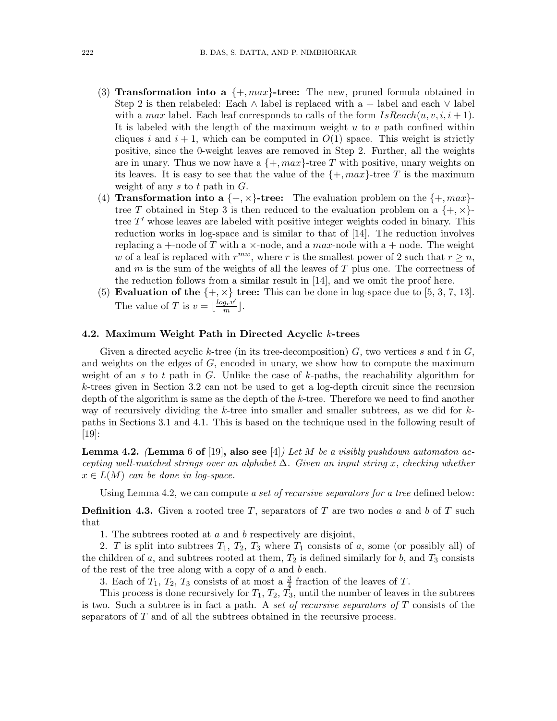- (3) Transformation into a  $\{+, max\}$ -tree: The new, pruned formula obtained in Step 2 is then relabeled: Each ∧ label is replaced with a + label and each  $\vee$  label with a max label. Each leaf corresponds to calls of the form  $IsReach(u, v, i, i + 1)$ . It is labeled with the length of the maximum weight  $u$  to  $v$  path confined within cliques i and  $i + 1$ , which can be computed in  $O(1)$  space. This weight is strictly positive, since the 0-weight leaves are removed in Step 2. Further, all the weights are in unary. Thus we now have a  $\{+, \text{max}\}\text{-tree }T$  with positive, unary weights on its leaves. It is easy to see that the value of the  $\{+, max\}$ -tree T is the maximum weight of any s to t path in  $G$ .
- (4) **Transformation into a**  $\{+, \times\}$ -tree: The evaluation problem on the  $\{+, max\}$ tree T obtained in Step 3 is then reduced to the evaluation problem on a  $\{+, \times\}$ tree T' whose leaves are labeled with positive integer weights coded in binary. This reduction works in log-space and is similar to that of [14]. The reduction involves replacing a +-node of T with a  $\times$ -node, and a max-node with a + node. The weight w of a leaf is replaced with  $r^{mw}$ , where r is the smallest power of 2 such that  $r \geq n$ , and  $m$  is the sum of the weights of all the leaves of  $T$  plus one. The correctness of the reduction follows from a similar result in [14], and we omit the proof here.
- (5) Evaluation of the  $\{+, \times\}$  tree: This can be done in log-space due to [5, 3, 7, 13]. The value of T is  $v = \lfloor \frac{log_r v'}{m} \rfloor$ .

#### 4.2. Maximum Weight Path in Directed Acyclic k-trees

Given a directed acyclic k-tree (in its tree-decomposition)  $G$ , two vertices s and t in  $G$ , and weights on the edges of  $G$ , encoded in unary, we show how to compute the maximum weight of an s to t path in G. Unlike the case of  $k$ -paths, the reachability algorithm for k-trees given in Section 3.2 can not be used to get a log-depth circuit since the recursion depth of the algorithm is same as the depth of the k-tree. Therefore we need to find another way of recursively dividing the  $k$ -tree into smaller and smaller subtrees, as we did for  $k$ paths in Sections 3.1 and 4.1. This is based on the technique used in the following result of [19]:

Lemma 4.2. *(*Lemma 6 of [19], also see [4]*) Let* M *be a visibly pushdown automaton accepting well-matched strings over an alphabet* ∆*. Given an input string* x*, checking whether*  $x \in L(M)$  *can be done in log-space.* 

Using Lemma 4.2, we can compute *a set of recursive separators for a tree* defined below:

**Definition 4.3.** Given a rooted tree T, separators of T are two nodes a and b of T such that

1. The subtrees rooted at a and b respectively are disjoint,

2. T is split into subtrees  $T_1$ ,  $T_2$ ,  $T_3$  where  $T_1$  consists of a, some (or possibly all) of the children of a, and subtrees rooted at them,  $T_2$  is defined similarly for b, and  $T_3$  consists of the rest of the tree along with a copy of  $a$  and  $b$  each.

3. Each of  $T_1$ ,  $T_2$ ,  $T_3$  consists of at most a  $\frac{3}{4}$  fraction of the leaves of T.

This process is done recursively for  $T_1, T_2, T_3$ , until the number of leaves in the subtrees is two. Such a subtree is in fact a path. A *set of recursive separators of* T consists of the separators of T and of all the subtrees obtained in the recursive process.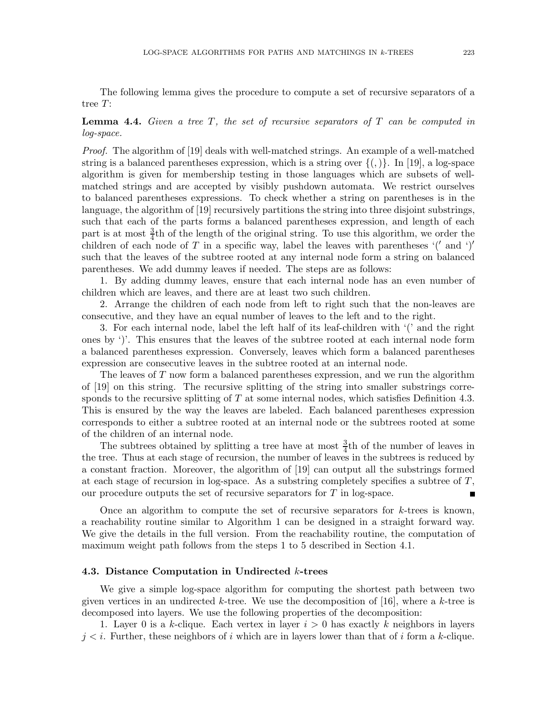The following lemma gives the procedure to compute a set of recursive separators of a tree T:

## Lemma 4.4. *Given a tree* T*, the set of recursive separators of* T *can be computed in log-space.*

*Proof.* The algorithm of [19] deals with well-matched strings. An example of a well-matched string is a balanced parentheses expression, which is a string over  $\{(\cdot)\}\$ . In [19], a log-space algorithm is given for membership testing in those languages which are subsets of wellmatched strings and are accepted by visibly pushdown automata. We restrict ourselves to balanced parentheses expressions. To check whether a string on parentheses is in the language, the algorithm of [19] recursively partitions the string into three disjoint substrings, such that each of the parts forms a balanced parentheses expression, and length of each part is at most  $\frac{3}{4}$ th of the length of the original string. To use this algorithm, we order the children of each node of T in a specific way, label the leaves with parentheses  $'('$  and  $')'$ such that the leaves of the subtree rooted at any internal node form a string on balanced parentheses. We add dummy leaves if needed. The steps are as follows:

1. By adding dummy leaves, ensure that each internal node has an even number of children which are leaves, and there are at least two such children.

2. Arrange the children of each node from left to right such that the non-leaves are consecutive, and they have an equal number of leaves to the left and to the right.

3. For each internal node, label the left half of its leaf-children with '(' and the right ones by ')'. This ensures that the leaves of the subtree rooted at each internal node form a balanced parentheses expression. Conversely, leaves which form a balanced parentheses expression are consecutive leaves in the subtree rooted at an internal node.

The leaves of T now form a balanced parentheses expression, and we run the algorithm of [19] on this string. The recursive splitting of the string into smaller substrings corresponds to the recursive splitting of  $T$  at some internal nodes, which satisfies Definition 4.3. This is ensured by the way the leaves are labeled. Each balanced parentheses expression corresponds to either a subtree rooted at an internal node or the subtrees rooted at some of the children of an internal node.

The subtrees obtained by splitting a tree have at most  $\frac{3}{4}$ th of the number of leaves in the tree. Thus at each stage of recursion, the number of leaves in the subtrees is reduced by a constant fraction. Moreover, the algorithm of [19] can output all the substrings formed at each stage of recursion in log-space. As a substring completely specifies a subtree of  $T$ , our procedure outputs the set of recursive separators for  $T$  in log-space.

Once an algorithm to compute the set of recursive separators for  $k$ -trees is known, a reachability routine similar to Algorithm 1 can be designed in a straight forward way. We give the details in the full version. From the reachability routine, the computation of maximum weight path follows from the steps 1 to 5 described in Section 4.1.

#### 4.3. Distance Computation in Undirected k-trees

We give a simple log-space algorithm for computing the shortest path between two given vertices in an undirected k-tree. We use the decomposition of [16], where a k-tree is decomposed into layers. We use the following properties of the decomposition:

1. Layer 0 is a k-clique. Each vertex in layer  $i > 0$  has exactly k neighbors in layers  $j < i$ . Further, these neighbors of i which are in layers lower than that of i form a k-clique.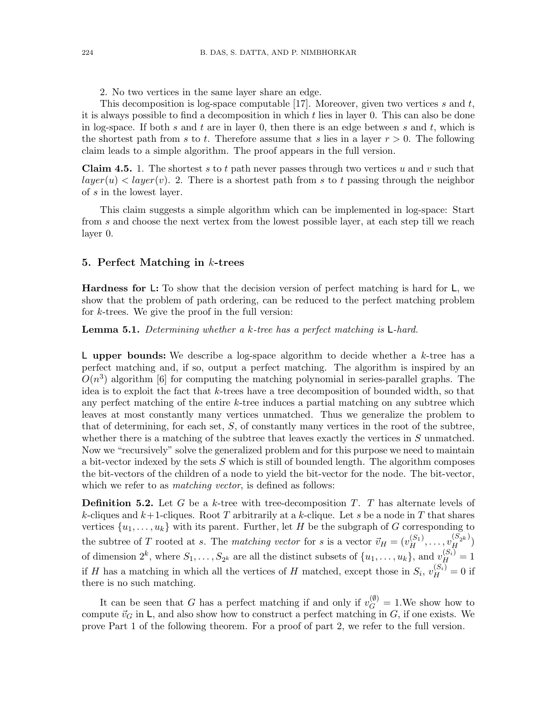2. No two vertices in the same layer share an edge.

This decomposition is log-space computable [17]. Moreover, given two vertices  $s$  and  $t$ , it is always possible to find a decomposition in which  $t$  lies in layer 0. This can also be done in log-space. If both s and t are in layer 0, then there is an edge between s and t, which is the shortest path from s to t. Therefore assume that s lies in a layer  $r > 0$ . The following claim leads to a simple algorithm. The proof appears in the full version.

**Claim 4.5.** 1. The shortest s to t path never passes through two vertices u and v such that  $layer(u) < layer(v)$ . 2. There is a shortest path from s to t passing through the neighbor of s in the lowest layer.

This claim suggests a simple algorithm which can be implemented in log-space: Start from s and choose the next vertex from the lowest possible layer, at each step till we reach layer 0.

#### 5. Perfect Matching in  $k$ -trees

**Hardness for L:** To show that the decision version of perfect matching is hard for  $\mathsf{L}$ , we show that the problem of path ordering, can be reduced to the perfect matching problem for k-trees. We give the proof in the full version:

Lemma 5.1. *Determining whether a* k*-tree has a perfect matching is* L*-hard.*

L upper bounds: We describe a log-space algorithm to decide whether a  $k$ -tree has a perfect matching and, if so, output a perfect matching. The algorithm is inspired by an  $O(n^3)$  algorithm [6] for computing the matching polynomial in series-parallel graphs. The idea is to exploit the fact that k-trees have a tree decomposition of bounded width, so that any perfect matching of the entire  $k$ -tree induces a partial matching on any subtree which leaves at most constantly many vertices unmatched. Thus we generalize the problem to that of determining, for each set,  $S$ , of constantly many vertices in the root of the subtree, whether there is a matching of the subtree that leaves exactly the vertices in  $S$  unmatched. Now we "recursively" solve the generalized problem and for this purpose we need to maintain a bit-vector indexed by the sets  $S$  which is still of bounded length. The algorithm composes the bit-vectors of the children of a node to yield the bit-vector for the node. The bit-vector, which we refer to as *matching vector*, is defined as follows:

**Definition 5.2.** Let G be a k-tree with tree-decomposition  $T$ . T has alternate levels of k-cliques and  $k+1$ -cliques. Root T arbitrarily at a k-clique. Let s be a node in T that shares vertices  $\{u_1, \ldots, u_k\}$  with its parent. Further, let H be the subgraph of G corresponding to the subtree of T rooted at s. The *matching vector* for s is a vector  $\vec{v}_H = (v_H^{(S_1)}, \ldots, v_H^{(S_{2^k})})$ of dimension  $2^k$ , where  $S_1, \ldots, S_{2^k}$  are all the distinct subsets of  $\{u_1, \ldots, u_k\}$ , and  $v_H^{(S_i)} = 1$ if H has a matching in which all the vertices of H matched, except those in  $S_i$ ,  $v_H^{(S_i)} = 0$  if there is no such matching.

It can be seen that G has a perfect matching if and only if  $v_G^{(\emptyset)} = 1$ . We show how to compute  $\vec{v}_G$  in  $\mathsf{L}$ , and also show how to construct a perfect matching in G, if one exists. We prove Part 1 of the following theorem. For a proof of part 2, we refer to the full version.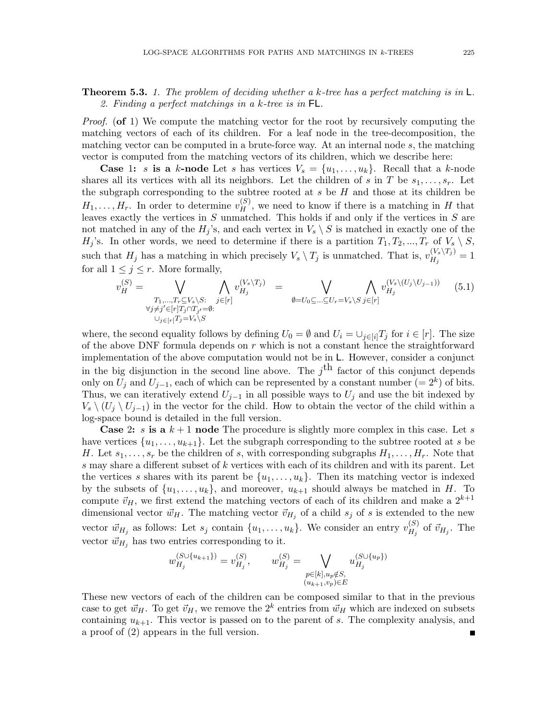## Theorem 5.3. *1. The problem of deciding whether a* k*-tree has a perfect matching is in* L*. 2. Finding a perfect matchings in a* k*-tree is in* FL*.*

*Proof.* (of 1) We compute the matching vector for the root by recursively computing the matching vectors of each of its children. For a leaf node in the tree-decomposition, the matching vector can be computed in a brute-force way. At an internal node s, the matching vector is computed from the matching vectors of its children, which we describe here:

**Case 1:** s is a k-node Let s has vertices  $V_s = \{u_1, \ldots, u_k\}$ . Recall that a k-node shares all its vertices with all its neighbors. Let the children of s in T be  $s_1, \ldots, s_r$ . Let the subgraph corresponding to the subtree rooted at  $s$  be  $H$  and those at its children be  $H_1, \ldots, H_r$ . In order to determine  $v_H^{(S)}$ , we need to know if there is a matching in H that leaves exactly the vertices in  $S$  unmatched. This holds if and only if the vertices in  $S$  are not matched in any of the  $H_j$ 's, and each vertex in  $V_s \setminus S$  is matched in exactly one of the  $H_j$ 's. In other words, we need to determine if there is a partition  $T_1, T_2, ..., T_r$  of  $V_s \setminus S$ , such that  $H_j$  has a matching in which precisely  $V_s \setminus T_j$  is unmatched. That is,  $v_{H_i}^{(V_s \setminus T_j)}$  $H_j^{(v_s \setminus I_j)} = 1$ for all  $1 \leq j \leq r$ . More formally,

$$
v_H^{(S)} = \bigvee_{\substack{T_1, \dots, T_r \subseteq V_s \backslash S: \\ \forall j \neq j' \in [r]}} \bigwedge_{j \in [r]} v_{H_j}^{(V_s \backslash T_j)} = \bigvee_{\emptyset = U_0 \subseteq \dots \subseteq U_r = V_s \backslash S} \bigwedge_{j \in [r]} v_{H_j}^{(V_s \backslash (U_j \backslash U_{j-1}))} \tag{5.1}
$$

where, the second equality follows by defining  $U_0 = \emptyset$  and  $U_i = \bigcup_{j \in [i]} T_j$  for  $i \in [r]$ . The size of the above DNF formula depends on  $r$  which is not a constant hence the straightforward implementation of the above computation would not be in L. However, consider a conjunct in the big disjunction in the second line above. The  $j<sup>th</sup>$  factor of this conjunct depends only on  $U_j$  and  $U_{j-1}$ , each of which can be represented by a constant number (=  $2^k$ ) of bits. Thus, we can iteratively extend  $U_{j-1}$  in all possible ways to  $U_j$  and use the bit indexed by  $V_s \ (U_i \ (U_{i-1})$  in the vector for the child. How to obtain the vector of the child within a log-space bound is detailed in the full version.

**Case 2:** s is a  $k+1$  node The procedure is slightly more complex in this case. Let s have vertices  $\{u_1, \ldots, u_{k+1}\}.$  Let the subgraph corresponding to the subtree rooted at s be H. Let  $s_1, \ldots, s_r$  be the children of s, with corresponding subgraphs  $H_1, \ldots, H_r$ . Note that s may share a different subset of  $k$  vertices with each of its children and with its parent. Let the vertices s shares with its parent be  $\{u_1, \ldots, u_k\}$ . Then its matching vector is indexed by the subsets of  $\{u_1, \ldots, u_k\}$ , and moreover,  $u_{k+1}$  should always be matched in H. To compute  $\vec{v}_H$ , we first extend the matching vectors of each of its children and make a  $2^{k+1}$ dimensional vector  $\vec{w}_H$ . The matching vector  $\vec{v}_{H_j}$  of a child  $s_j$  of s is extended to the new vector  $\vec{w}_{H_j}$  as follows: Let  $s_j$  contain  $\{u_1, \ldots, u_k\}$ . We consider an entry  $v_{H_j}^{(S)}$  $\ddot{H}_j^{(3)}$  of  $\vec{v}_{H_j}$ . The vector  $\vec{w}_{H_i}$  has two entries corresponding to it.

$$
w_{H_j}^{(S \cup \{u_{k+1}\})} = v_{H_j}^{(S)}, \qquad w_{H_j}^{(S)} = \bigvee_{\substack{p \in [k], u_p \notin S, \\(u_{k+1}, v_p) \in E}} u_{H_j}^{(S \cup \{u_p\})}
$$

These new vectors of each of the children can be composed similar to that in the previous case to get  $\vec{w}_H$ . To get  $\vec{v}_H$ , we remove the  $2^k$  entries from  $\vec{w}_H$  which are indexed on subsets containing  $u_{k+1}$ . This vector is passed on to the parent of s. The complexity analysis, and a proof of (2) appears in the full version.